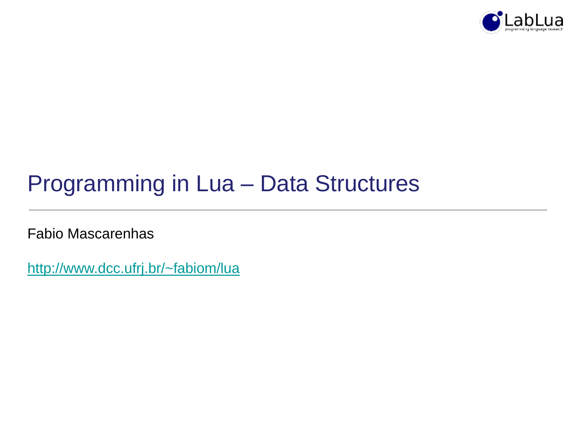

# Programming in Lua – Data Structures

Fabio Mascarenhas

<http://www.dcc.ufrj.br/~fabiom/lua>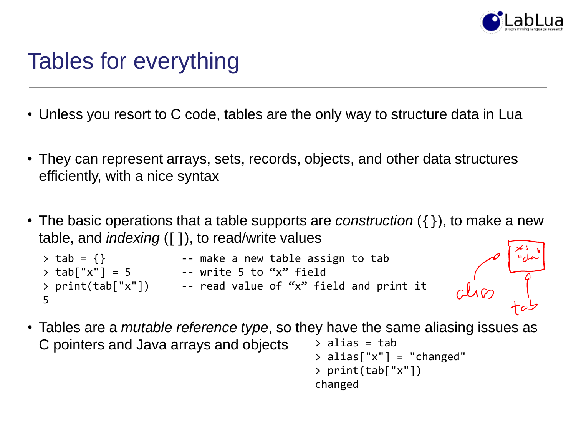

# Tables for everything

- Unless you resort to C code, tables are the only way to structure data in Lua
- They can represent arrays, sets, records, objects, and other data structures efficiently, with a nice syntax
- The basic operations that a table supports are *construction* ({}), to make a new table, and *indexing* ([]), to read/write values

```
> tab = \{\} -- make a new table assign to tab
> tab["x"] = 5 -- write 5 to "x" field
> print(tab["x"]) -- read value of "x" field and print it
5
```
• Tables are a *mutable reference type*, so they have the same aliasing issues as C pointers and Java arrays and objects  $>$  alias = tab

```
> alias['x"] = "changed"> print(tab["x"])
changed
```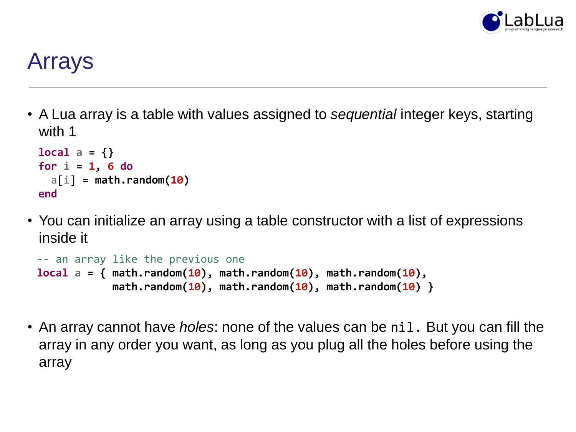

## Arrays

• A Lua array is a table with values assigned to *sequential* integer keys, starting with 1

```
local a = {}
for i = 1, 6 do
  a[i] = math.random(10)
end
```
• You can initialize an array using a table constructor with a list of expressions inside it

```
-- an array like the previous one 
\text{local} a = { math.random(10), math.random(10), math.random(10),
            math.random(10), math.random(10), math.random(10) }
```
• An array cannot have *holes*: none of the values can be nil. But you can fill the array in any order you want, as long as you plug all the holes before using the array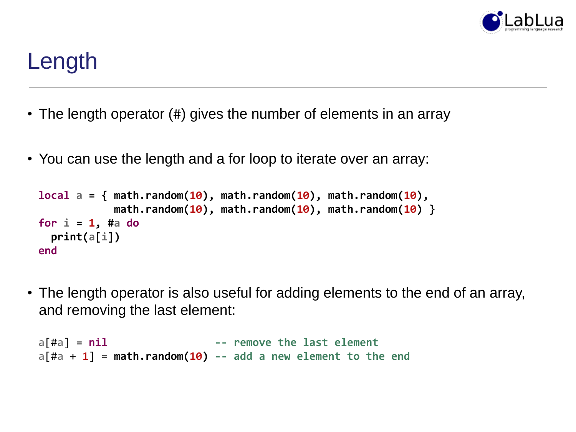

# Length

- The length operator (#) gives the number of elements in an array
- You can use the length and a for loop to iterate over an array:

```
local a = { math.random(10), math.random(10), math.random(10),
            math.random(10), math.random(10), math.random(10) }
for i = 1, #a do
 print(a[i])
end
```
• The length operator is also useful for adding elements to the end of an array, and removing the last element:

```
a[#a] = nil -- remove the last element
a[#a + 1] = math.random(10) -- add a new element to the end
```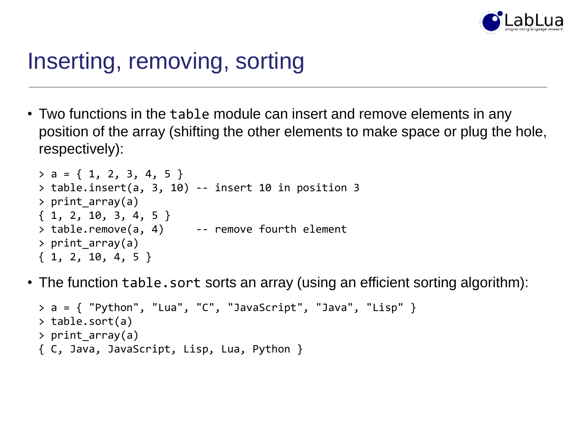

## Inserting, removing, sorting

• Two functions in the table module can insert and remove elements in any position of the array (shifting the other elements to make space or plug the hole, respectively):

```
> a = \{ 1, 2, 3, 4, 5 \}> table.insert(a, 3, 10) -- insert 10 in position 3
> print array(a)
{ 1, 2, 10, 3, 4, 5 }
> table.remove(a, 4) -- remove fourth element
> print array(a)
\{ 1, 2, 10, 4, 5 \}
```
• The function table.sort sorts an array (using an efficient sorting algorithm):

```
> a = \{ "Python", "Lua", "C", "JavaScript", "Java", "Lisp" }
> table.sort(a)
> print array(a)
{ C, Java, JavaScript, Lisp, Lua, Python }
```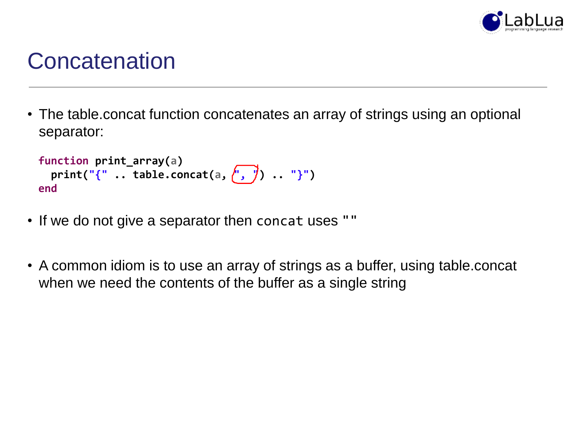

### **Concatenation**

• The table.concat function concatenates an array of strings using an optional separator:

```
function print_array(a)
 print("{" .. table.concat(a, ", ") .. "}")
end
```
- If we do not give a separator then concat uses ""
- A common idiom is to use an array of strings as a buffer, using table.concat when we need the contents of the buffer as a single string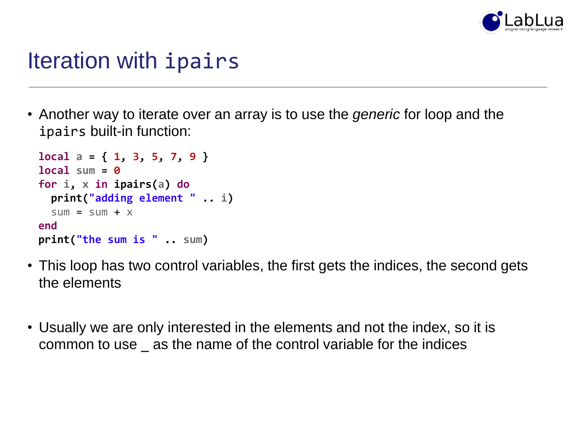

### Iteration with ipairs

• Another way to iterate over an array is to use the *generic* for loop and the ipairs built-in function:

```
local a = { 1, 3, 5, 7, 9 }
local sum = 0
for i, x in ipairs(a) do
  print("adding element " .. i)
  sum = sum + xend
print("the sum is " .. sum)
```
- This loop has two control variables, the first gets the indices, the second gets the elements
- Usually we are only interested in the elements and not the index, so it is common to use \_ as the name of the control variable for the indices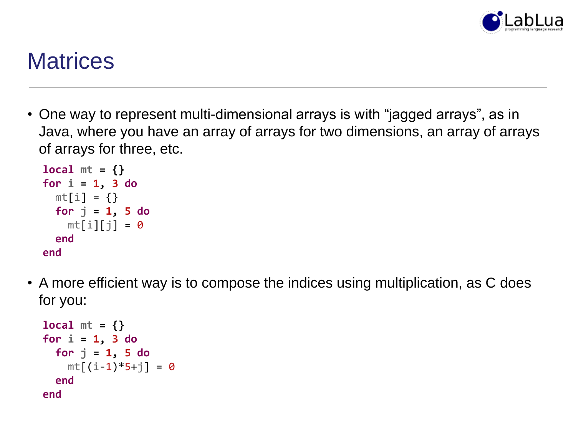

# **Matrices**

• One way to represent multi-dimensional arrays is with "jagged arrays", as in Java, where you have an array of arrays for two dimensions, an array of arrays of arrays for three, etc.

```
local mt = {}
for i = 1, 3 do
 mt[i] = \{\}for j = 1, 5 do
   mt[i][j] = 0end
end
```
• A more efficient way is to compose the indices using multiplication, as C does for you:

```
local mt = {}
for i = 1, 3 do
 for j = 1, 5 do
   mtf(i-1)*5+j = 0end
end
```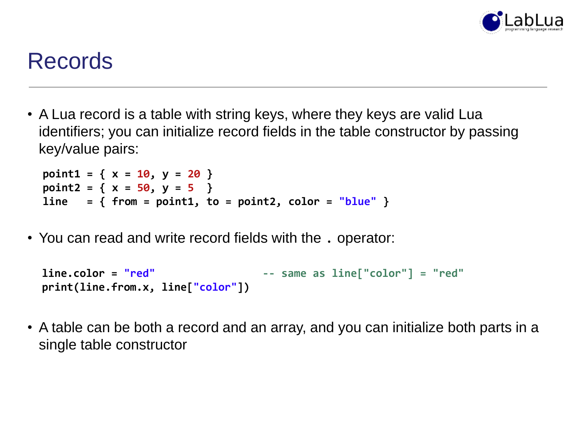

### Records

• A Lua record is a table with string keys, where they keys are valid Lua identifiers; you can initialize record fields in the table constructor by passing key/value pairs:

```
point1 = { x = 10, y = 20 }
point2 = { x = 50, y = 5 }
line = { from = point1, to = point2, color = "blue" }
```
• You can read and write record fields with the . operator:

```
line.color = "red" -- same as line["color"] = "red"
print(line.from.x, line["color"])
```
• A table can be both a record and an array, and you can initialize both parts in a single table constructor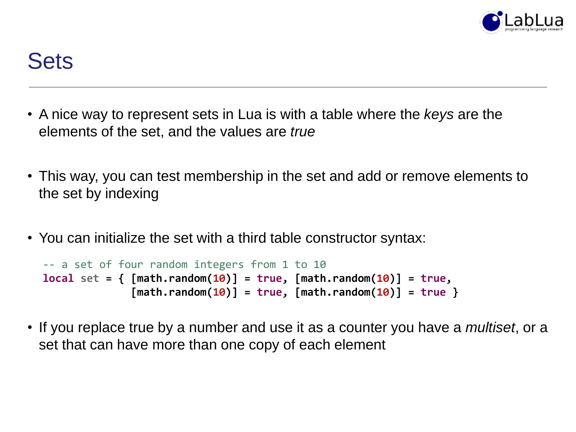

### Sets

- A nice way to represent sets in Lua is with a table where the *keys* are the elements of the set, and the values are *true*
- This way, you can test membership in the set and add or remove elements to the set by indexing
- You can initialize the set with a third table constructor syntax:

```
-- a set of four random integers from 1 to 10
local set = { [math.random(10)] = true, [math.random(10)] = true,
              [math.random(10)] = true, [math.random(10)] = true }
```
• If you replace true by a number and use it as a counter you have a *multiset*, or a set that can have more than one copy of each element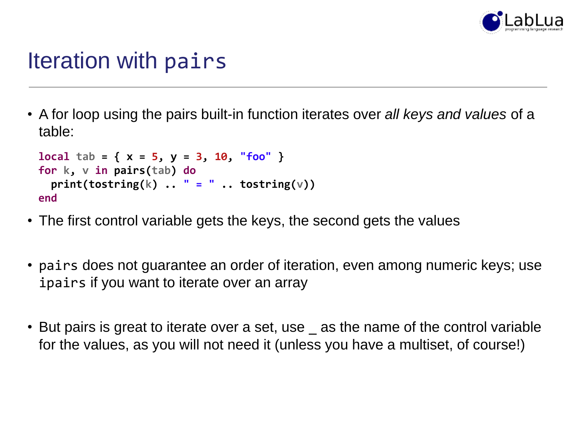

## Iteration with pairs

• A for loop using the pairs built-in function iterates over *all keys and values* of a table:

```
local tab = { x = 5, y = 3, 10, "foo" }
for k, v in pairs(tab) do
 print(tostring(k) .. " = " .. tostring(v))
end
```
- The first control variable gets the keys, the second gets the values
- pairs does not guarantee an order of iteration, even among numeric keys; use ipairs if you want to iterate over an array
- But pairs is great to iterate over a set, use \_ as the name of the control variable for the values, as you will not need it (unless you have a multiset, of course!)